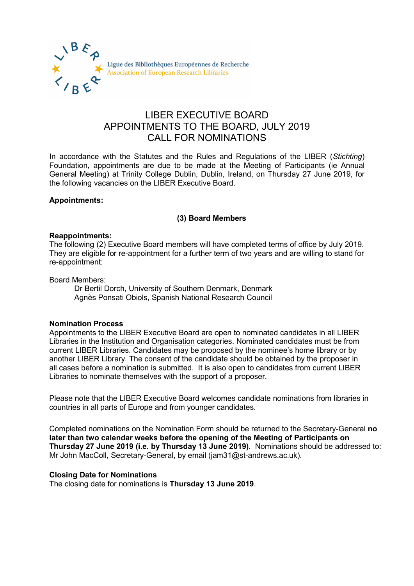

# LIBER EXECUTIVE BOARD APPOINTMENTS TO THE BOARD, JULY 2019 CALL FOR NOMINATIONS

In accordance with the Statutes and the Rules and Regulations of the LIBER (*Stichting*) Foundation, appointments are due to be made at the Meeting of Participants (ie Annual General Meeting) at Trinity College Dublin, Dublin, Ireland, on Thursday 27 June 2019, for the following vacancies on the LIBER Executive Board.

### **Appointments:**

## **(3) Board Members**

### **Reappointments:**

The following (2) Executive Board members will have completed terms of office by July 2019. They are eligible for re-appointment for a further term of two years and are willing to stand for re-appointment:

Board Members:

Dr Bertil Dorch, University of Southern Denmark, Denmark Agnès Ponsati Obiols, Spanish National Research Council

### **Nomination Process**

Appointments to the LIBER Executive Board are open to nominated candidates in all LIBER Libraries in the Institution and Organisation categories. Nominated candidates must be from current LIBER Libraries. Candidates may be proposed by the nominee's home library or by another LIBER Library. The consent of the candidate should be obtained by the proposer in all cases before a nomination is submitted. It is also open to candidates from current LIBER Libraries to nominate themselves with the support of a proposer.

Please note that the LIBER Executive Board welcomes candidate nominations from libraries in countries in all parts of Europe and from younger candidates.

Completed nominations on the Nomination Form should be returned to the Secretary-General **no later than two calendar weeks before the opening of the Meeting of Participants on Thursday 27 June 2019 (i.e. by Thursday 13 June 2019)**. Nominations should be addressed to: Mr John MacColl, Secretary-General, by email (jam31@st-andrews.ac.uk).

### **Closing Date for Nominations**

The closing date for nominations is **Thursday 13 June 2019**.